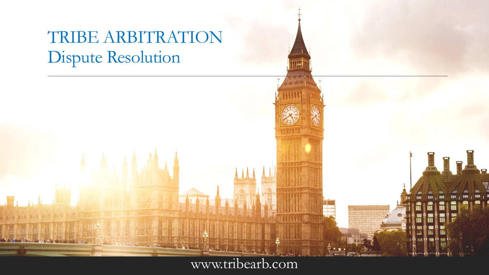# TRIBE ARBITRATION Dispute Resolution

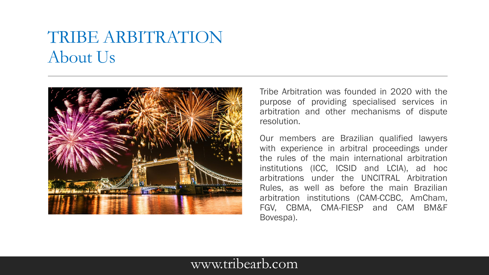# TRIBE ARBITRATION About Us



Tribe Arbitration was founded in 2020 with the purpose of providing specialised services in arbitration and other mechanisms of dispute resolution.

Our members are Brazilian qualified lawyers with experience in arbitral proceedings under the rules of the main international arbitration institutions (ICC, ICSID and LCIA), ad hoc arbitrations under the UNCITRAL Arbitration Rules, as well as before the main Brazilian arbitration institutions (CAM-CCBC, AmCham, FGV, CBMA, CMA-FIESP and CAM BM&F Bovespa).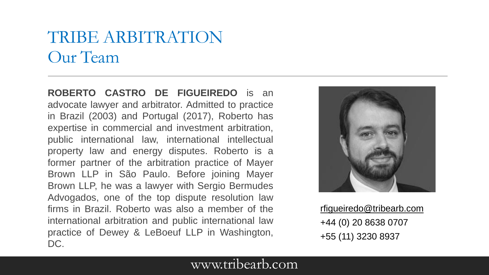## TRIBE ARBITRATION Our Team

**ROBERTO CASTRO DE FIGUEIREDO** is an advocate lawyer and arbitrator. Admitted to practice in Brazil (2003) and Portugal (2017), Roberto has expertise in commercial and investment arbitration, public international law, international intellectual property law and energy disputes. Roberto is a former partner of the arbitration practice of Mayer Brown LLP in São Paulo. Before joining Mayer Brown LLP, he was a lawyer with Sergio Bermudes Advogados, one of the top dispute resolution law firms in Brazil. Roberto was also a member of the international arbitration and public international law practice of Dewey & LeBoeuf LLP in Washington, DC.



[rfigueiredo@tribearb.com](mailto:rfigueiredo@tribearb.com) +44 (0) 20 8638 0707 +55 (11) 3230 8937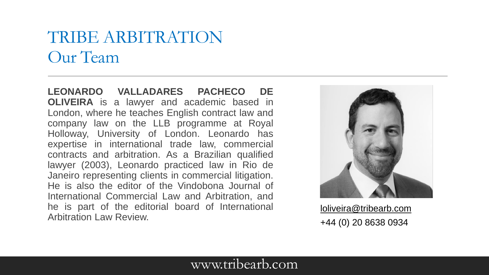## TRIBE ARBITRATION Our Team

**LEONARDO VALLADARES PACHECO DE OLIVEIRA** is a lawyer and academic based in London, where he teaches English contract law and company law on the LLB programme at Royal Holloway, University of London. Leonardo has expertise in international trade law, commercial contracts and arbitration. As a Brazilian qualified lawyer (2003), Leonardo practiced law in Rio de Janeiro representing clients in commercial litigation. He is also the editor of the Vindobona Journal of International Commercial Law and Arbitration, and he is part of the editorial board of International Arbitration Law Review.



[loliveira@tribearb.com](mailto:rfigueiredo@tribearb.com) +44 (0) 20 8638 0934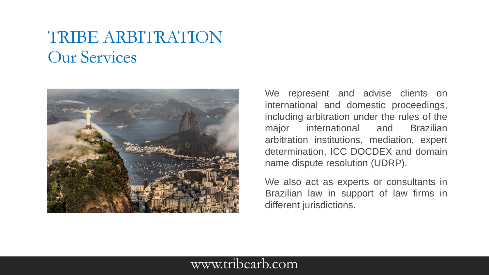## TRIBE ARBITRATION Our Services



We represent and advise clients on international and domestic proceedings, including arbitration under the rules of the major international and Brazilian arbitration institutions, mediation, expert determination, ICC DOCDEX and domain name dispute resolution (UDRP).

We also act as experts or consultants in Brazilian law in support of law firms in different jurisdictions.